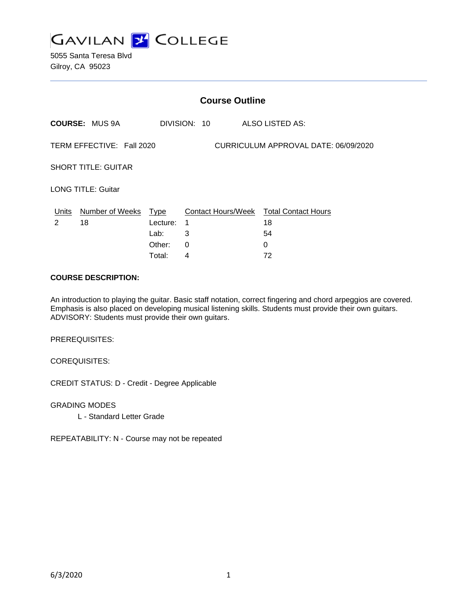

5055 Santa Teresa Blvd Gilroy, CA 95023

|                                                                   |                            |                                      | <b>Course Outline</b>      |                                                               |  |
|-------------------------------------------------------------------|----------------------------|--------------------------------------|----------------------------|---------------------------------------------------------------|--|
|                                                                   | <b>COURSE: MUS 9A</b>      |                                      | DIVISION: 10               | ALSO LISTED AS:                                               |  |
| TERM EFFECTIVE: Fall 2020<br>CURRICULUM APPROVAL DATE: 06/09/2020 |                            |                                      |                            |                                                               |  |
| <b>SHORT TITLE: GUITAR</b>                                        |                            |                                      |                            |                                                               |  |
| <b>LONG TITLE: Guitar</b>                                         |                            |                                      |                            |                                                               |  |
| Units<br>$\mathcal{P}$                                            | Number of Weeks Type<br>18 | Lecture:<br>Lab:<br>Other:<br>Total: | $\mathbf 1$<br>3<br>0<br>4 | Contact Hours/Week Total Contact Hours<br>18<br>54<br>0<br>72 |  |
|                                                                   |                            |                                      |                            |                                                               |  |

### **COURSE DESCRIPTION:**

An introduction to playing the guitar. Basic staff notation, correct fingering and chord arpeggios are covered. Emphasis is also placed on developing musical listening skills. Students must provide their own guitars. ADVISORY: Students must provide their own guitars.

PREREQUISITES:

COREQUISITES:

CREDIT STATUS: D - Credit - Degree Applicable

GRADING MODES

L - Standard Letter Grade

REPEATABILITY: N - Course may not be repeated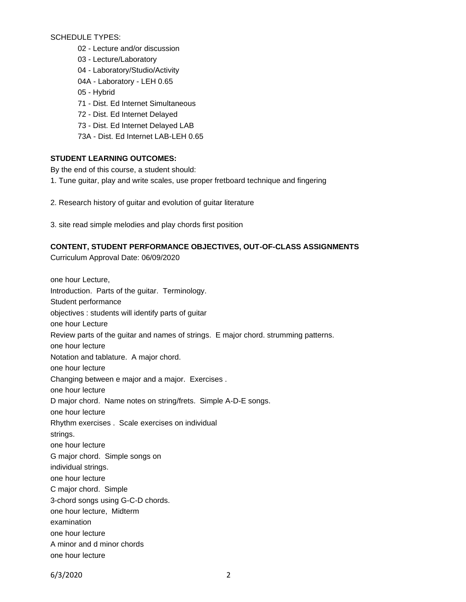SCHEDULE TYPES:

- 02 Lecture and/or discussion
- 03 Lecture/Laboratory
- 04 Laboratory/Studio/Activity
- 04A Laboratory LEH 0.65
- 05 Hybrid
- 71 Dist. Ed Internet Simultaneous
- 72 Dist. Ed Internet Delayed
- 73 Dist. Ed Internet Delayed LAB
- 73A Dist. Ed Internet LAB-LEH 0.65

### **STUDENT LEARNING OUTCOMES:**

By the end of this course, a student should:

- 1. Tune guitar, play and write scales, use proper fretboard technique and fingering
- 2. Research history of guitar and evolution of guitar literature
- 3. site read simple melodies and play chords first position

# **CONTENT, STUDENT PERFORMANCE OBJECTIVES, OUT-OF-CLASS ASSIGNMENTS**

Curriculum Approval Date: 06/09/2020

one hour Lecture, Introduction. Parts of the guitar. Terminology. Student performance objectives : students will identify parts of guitar one hour Lecture Review parts of the guitar and names of strings. E major chord. strumming patterns. one hour lecture Notation and tablature. A major chord. one hour lecture Changing between e major and a major. Exercises . one hour lecture D major chord. Name notes on string/frets. Simple A-D-E songs. one hour lecture Rhythm exercises . Scale exercises on individual strings. one hour lecture G major chord. Simple songs on individual strings. one hour lecture C major chord. Simple 3-chord songs using G-C-D chords. one hour lecture, Midterm examination one hour lecture A minor and d minor chords one hour lecture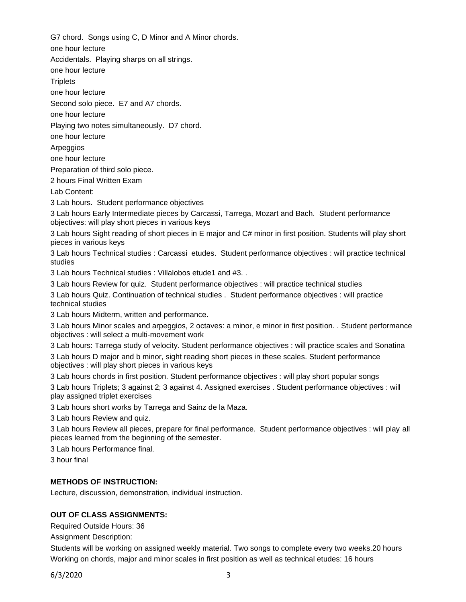G7 chord. Songs using C, D Minor and A Minor chords.

one hour lecture

Accidentals. Playing sharps on all strings.

one hour lecture

**Triplets** 

one hour lecture

Second solo piece. E7 and A7 chords.

one hour lecture

Playing two notes simultaneously. D7 chord.

one hour lecture

Arpeggios

one hour lecture

Preparation of third solo piece.

2 hours Final Written Exam

Lab Content:

3 Lab hours. Student performance objectives

3 Lab hours Early Intermediate pieces by Carcassi, Tarrega, Mozart and Bach. Student performance objectives: will play short pieces in various keys

3 Lab hours Sight reading of short pieces in E major and C# minor in first position. Students will play short pieces in various keys

3 Lab hours Technical studies : Carcassi etudes. Student performance objectives : will practice technical studies

3 Lab hours Technical studies : Villalobos etude1 and #3. .

3 Lab hours Review for quiz. Student performance objectives : will practice technical studies

3 Lab hours Quiz. Continuation of technical studies . Student performance objectives : will practice technical studies

3 Lab hours Midterm, written and performance.

3 Lab hours Minor scales and arpeggios, 2 octaves: a minor, e minor in first position. . Student performance objectives : will select a multi-movement work

3 Lab hours: Tarrega study of velocity. Student performance objectives : will practice scales and Sonatina

3 Lab hours D major and b minor, sight reading short pieces in these scales. Student performance objectives : will play short pieces in various keys

3 Lab hours chords in first position. Student performance objectives : will play short popular songs

3 Lab hours Triplets; 3 against 2; 3 against 4. Assigned exercises . Student performance objectives : will play assigned triplet exercises

3 Lab hours short works by Tarrega and Sainz de la Maza.

3 Lab hours Review and quiz.

3 Lab hours Review all pieces, prepare for final performance. Student performance objectives : will play all pieces learned from the beginning of the semester.

3 Lab hours Performance final.

3 hour final

# **METHODS OF INSTRUCTION:**

Lecture, discussion, demonstration, individual instruction.

# **OUT OF CLASS ASSIGNMENTS:**

Required Outside Hours: 36

Assignment Description:

Students will be working on assigned weekly material. Two songs to complete every two weeks.20 hours Working on chords, major and minor scales in first position as well as technical etudes: 16 hours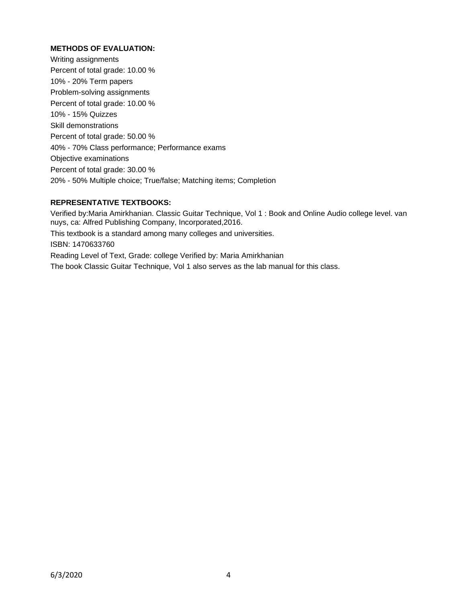### **METHODS OF EVALUATION:**

Writing assignments Percent of total grade: 10.00 % 10% - 20% Term papers Problem-solving assignments Percent of total grade: 10.00 % 10% - 15% Quizzes Skill demonstrations Percent of total grade: 50.00 % 40% - 70% Class performance; Performance exams Objective examinations Percent of total grade: 30.00 % 20% - 50% Multiple choice; True/false; Matching items; Completion

#### **REPRESENTATIVE TEXTBOOKS:**

Verified by:Maria Amirkhanian. Classic Guitar Technique, Vol 1 : Book and Online Audio college level. van nuys, ca: Alfred Publishing Company, Incorporated,2016. This textbook is a standard among many colleges and universities. ISBN: 1470633760 Reading Level of Text, Grade: college Verified by: Maria Amirkhanian The book Classic Guitar Technique, Vol 1 also serves as the lab manual for this class.